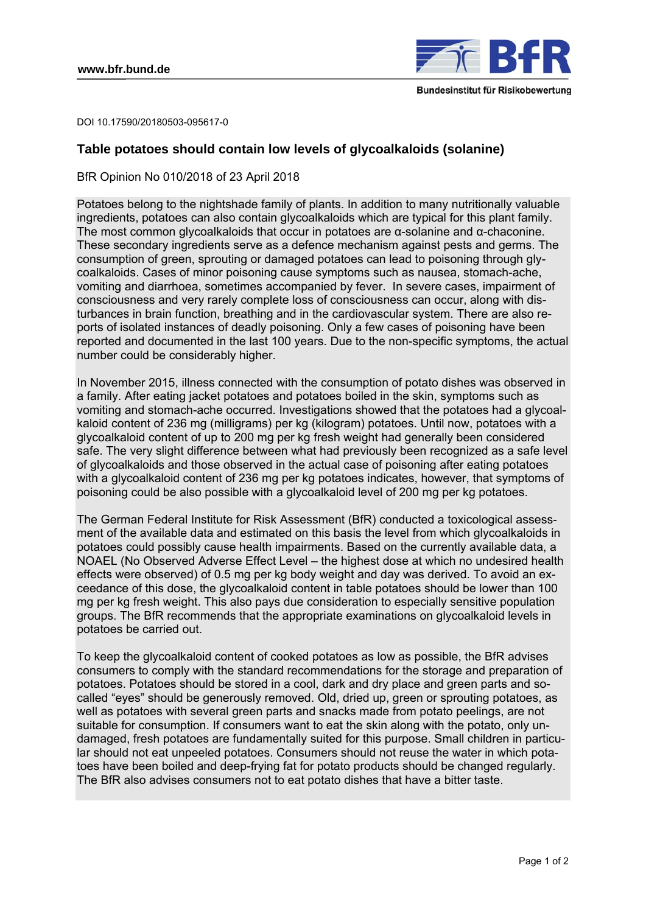

DOI 10.17590/20180503-095617-0

# **Table potatoes should contain low levels of glycoalkaloids (solanine)**

BfR Opinion No 010/2018 of 23 April 2018

Potatoes belong to the nightshade family of plants. In addition to many nutritionally valuable ingredients, potatoes can also contain glycoalkaloids which are typical for this plant family. The most common glycoalkaloids that occur in potatoes are  $\alpha$ -solanine and  $\alpha$ -chaconine. These secondary ingredients serve as a defence mechanism against pests and germs. The consumption of green, sprouting or damaged potatoes can lead to poisoning through glycoalkaloids. Cases of minor poisoning cause symptoms such as nausea, stomach-ache, vomiting and diarrhoea, sometimes accompanied by fever. In severe cases, impairment of consciousness and very rarely complete loss of consciousness can occur, along with disturbances in brain function, breathing and in the cardiovascular system. There are also reports of isolated instances of deadly poisoning. Only a few cases of poisoning have been reported and documented in the last 100 years. Due to the non-specific symptoms, the actual number could be considerably higher.

In November 2015, illness connected with the consumption of potato dishes was observed in a family. After eating jacket potatoes and potatoes boiled in the skin, symptoms such as vomiting and stomach-ache occurred. Investigations showed that the potatoes had a glycoalkaloid content of 236 mg (milligrams) per kg (kilogram) potatoes. Until now, potatoes with a glycoalkaloid content of up to 200 mg per kg fresh weight had generally been considered safe. The very slight difference between what had previously been recognized as a safe level of glycoalkaloids and those observed in the actual case of poisoning after eating potatoes with a glycoalkaloid content of 236 mg per kg potatoes indicates, however, that symptoms of poisoning could be also possible with a glycoalkaloid level of 200 mg per kg potatoes.

The German Federal Institute for Risk Assessment (BfR) conducted a toxicological assessment of the available data and estimated on this basis the level from which glycoalkaloids in potatoes could possibly cause health impairments. Based on the currently available data, a NOAEL (No Observed Adverse Effect Level – the highest dose at which no undesired health effects were observed) of 0.5 mg per kg body weight and day was derived. To avoid an exceedance of this dose, the glycoalkaloid content in table potatoes should be lower than 100 mg per kg fresh weight. This also pays due consideration to especially sensitive population groups. The BfR recommends that the appropriate examinations on glycoalkaloid levels in potatoes be carried out.

To keep the glycoalkaloid content of cooked potatoes as low as possible, the BfR advises consumers to comply with the standard recommendations for the storage and preparation of potatoes. Potatoes should be stored in a cool, dark and dry place and green parts and socalled "eyes" should be generously removed. Old, dried up, green or sprouting potatoes, as well as potatoes with several green parts and snacks made from potato peelings, are not suitable for consumption. If consumers want to eat the skin along with the potato, only undamaged, fresh potatoes are fundamentally suited for this purpose. Small children in particular should not eat unpeeled potatoes. Consumers should not reuse the water in which potatoes have been boiled and deep-frying fat for potato products should be changed regularly. The BfR also advises consumers not to eat potato dishes that have a bitter taste.